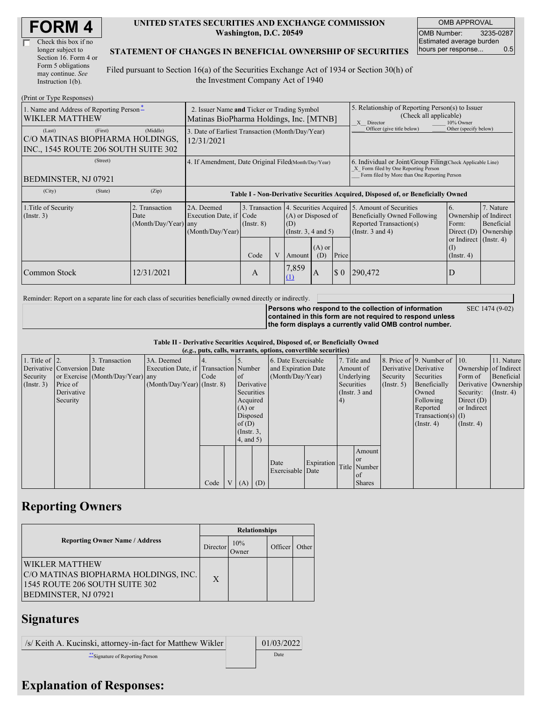| Check this box if no  |
|-----------------------|
| longer subject to     |
| Section 16. Form 4 or |
| Form 5 obligations    |
| may continue. See     |
| Instruction 1(b).     |

#### **UNITED STATES SECURITIES AND EXCHANGE COMMISSION Washington, D.C. 20549**

OMB APPROVAL OMB Number: 3235-0287 Estimated average burden hours per response... 0.5

#### **STATEMENT OF CHANGES IN BENEFICIAL OWNERSHIP OF SECURITIES**

Filed pursuant to Section 16(a) of the Securities Exchange Act of 1934 or Section 30(h) of the Investment Company Act of 1940

| (Print or Type Responses)                                                                    |                                                                                        |                                                                                  |                                   |  |                                                                                              |              |                                                                                                                                                    |                                                                                                             |                                                                                             |                                      |
|----------------------------------------------------------------------------------------------|----------------------------------------------------------------------------------------|----------------------------------------------------------------------------------|-----------------------------------|--|----------------------------------------------------------------------------------------------|--------------|----------------------------------------------------------------------------------------------------------------------------------------------------|-------------------------------------------------------------------------------------------------------------|---------------------------------------------------------------------------------------------|--------------------------------------|
| 1. Name and Address of Reporting Person-<br><b>WIKLER MATTHEW</b>                            | 2. Issuer Name and Ticker or Trading Symbol<br>Matinas BioPharma Holdings, Inc. [MTNB] |                                                                                  |                                   |  |                                                                                              |              | 5. Relationship of Reporting Person(s) to Issuer<br>(Check all applicable)<br>10% Owner<br>X Director                                              |                                                                                                             |                                                                                             |                                      |
| (First)<br>(Last)<br>C/O MATINAS BIOPHARMA HOLDINGS,<br>INC., 1545 ROUTE 206 SOUTH SUITE 302 | (Middle)                                                                               | 3. Date of Earliest Transaction (Month/Day/Year)<br>12/31/2021                   |                                   |  |                                                                                              |              |                                                                                                                                                    | Officer (give title below)                                                                                  | Other (specify below)                                                                       |                                      |
| (Street)<br>BEDMINSTER, NJ 07921                                                             | 4. If Amendment, Date Original Filed(Month/Day/Year)                                   |                                                                                  |                                   |  |                                                                                              |              | 6. Individual or Joint/Group Filing Check Applicable Line)<br>X Form filed by One Reporting Person<br>Form filed by More than One Reporting Person |                                                                                                             |                                                                                             |                                      |
| (City)<br>(State)                                                                            | (Zip)                                                                                  | Table I - Non-Derivative Securities Acquired, Disposed of, or Beneficially Owned |                                   |  |                                                                                              |              |                                                                                                                                                    |                                                                                                             |                                                                                             |                                      |
| 1. Title of Security<br>$($ Instr. 3 $)$                                                     | 2. Transaction<br>Date<br>$(Month/Day/Year)$ any                                       | 2A. Deemed<br>Execution Date, if Code<br>(Month/Day/Year)                        | 3. Transaction<br>$($ Instr. $8)$ |  | 4. Securities Acquired<br>(A) or Disposed of<br>(D)<br>$($ Instr. 3, 4 and 5 $)$<br>$(A)$ or |              |                                                                                                                                                    | 5. Amount of Securities<br>Beneficially Owned Following<br>Reported Transaction(s)<br>(Instr. $3$ and $4$ ) | 6.<br>Ownership of Indirect<br>Form:<br>Direct $(D)$<br>or Indirect $($ Instr. 4 $)$<br>(I) | 7. Nature<br>Beneficial<br>Ownership |
|                                                                                              |                                                                                        |                                                                                  | Code                              |  | Amount                                                                                       | (D)          | Price                                                                                                                                              |                                                                                                             | $($ Instr. 4 $)$                                                                            |                                      |
| <b>Common Stock</b>                                                                          | 12/31/2021                                                                             |                                                                                  | A                                 |  | 7,859<br>(1)                                                                                 | $\mathbf{A}$ | $\boldsymbol{\mathsf{S}}$ 0                                                                                                                        | 290,472                                                                                                     |                                                                                             |                                      |

Reminder: Report on a separate line for each class of securities beneficially owned directly or indirectly.

**Persons who respond to the collection of information contained in this form are not required to respond unless the form displays a currently valid OMB control number.**

SEC 1474 (9-02)

**Table II - Derivative Securities Acquired, Disposed of, or Beneficially Owned**

|                        | (e.g., puts, calls, warrants, options, convertible securities) |                                  |                                       |      |                |                  |            |                          |            |               |               |                       |                              |                       |            |
|------------------------|----------------------------------------------------------------|----------------------------------|---------------------------------------|------|----------------|------------------|------------|--------------------------|------------|---------------|---------------|-----------------------|------------------------------|-----------------------|------------|
| 1. Title of $\vert$ 2. |                                                                | 3. Transaction                   | 3A. Deemed                            |      |                |                  |            | 6. Date Exercisable      |            |               | 7. Title and  |                       | 8. Price of 9. Number of 10. |                       | 11. Nature |
|                        | Derivative Conversion Date                                     |                                  | Execution Date, if Transaction Number |      |                |                  |            | and Expiration Date      |            |               | Amount of     | Derivative Derivative |                              | Ownership of Indirect |            |
| Security               |                                                                | or Exercise (Month/Day/Year) any |                                       | Code |                | of               |            | (Month/Day/Year)         |            |               | Underlying    | Security              | Securities                   | Form of               | Beneficial |
| (Insert. 3)            | Price of                                                       |                                  | $(Month/Day/Year)$ (Instr. 8)         |      |                | Derivative       |            | Securities               |            | $($ Instr. 5) | Beneficially  |                       | Derivative Ownership         |                       |            |
|                        | Derivative                                                     |                                  |                                       |      |                | Securities       |            | (Instr. 3 and            |            |               | Owned         | Security:             | $($ Instr. 4 $)$             |                       |            |
|                        | Security                                                       |                                  |                                       |      |                | Acquired         |            |                          | (4)        |               |               | Following             | Direct $(D)$                 |                       |            |
|                        |                                                                |                                  |                                       |      |                | $(A)$ or         |            |                          |            |               |               |                       | Reported                     | or Indirect           |            |
|                        |                                                                |                                  |                                       |      |                | Disposed         |            |                          |            |               |               |                       | $Transaction(s)$ (I)         |                       |            |
|                        |                                                                |                                  |                                       |      |                | of(D)            |            |                          |            |               |               |                       | $($ Instr. 4 $)$             | $($ Instr. 4 $)$      |            |
|                        |                                                                |                                  |                                       |      |                | $($ Instr. $3$ , |            |                          |            |               |               |                       |                              |                       |            |
|                        |                                                                |                                  |                                       |      |                | 4, and 5)        |            |                          |            |               |               |                       |                              |                       |            |
|                        |                                                                |                                  |                                       |      |                |                  |            |                          |            |               | Amount        |                       |                              |                       |            |
|                        |                                                                |                                  |                                       |      |                |                  |            |                          | Expiration |               | <sub>or</sub> |                       |                              |                       |            |
|                        |                                                                |                                  |                                       |      |                |                  |            | Date<br>Exercisable Date |            |               | Title Number  |                       |                              |                       |            |
|                        |                                                                |                                  |                                       |      |                |                  |            |                          |            |               | of            |                       |                              |                       |            |
|                        |                                                                |                                  |                                       | Code | V <sub>1</sub> | (A)              | $\mid$ (D) |                          |            |               | <b>Shares</b> |                       |                              |                       |            |

## **Reporting Owners**

|                                                                                                                         | <b>Relationships</b> |              |         |       |  |  |  |
|-------------------------------------------------------------------------------------------------------------------------|----------------------|--------------|---------|-------|--|--|--|
| <b>Reporting Owner Name / Address</b>                                                                                   | Director             | 10%<br>Owner | Officer | Other |  |  |  |
| <b>WIKLER MATTHEW</b><br>C/O MATINAS BIOPHARMA HOLDINGS, INC.<br>1545 ROUTE 206 SOUTH SUITE 302<br>BEDMINSTER, NJ 07921 | X                    |              |         |       |  |  |  |

### **Signatures**

/s/ Keith A. Kucinski, attorney-in-fact for Matthew Wikler  $\vert$  01/03/2022

\*\*Signature of Reporting Person Date

# **Explanation of Responses:**